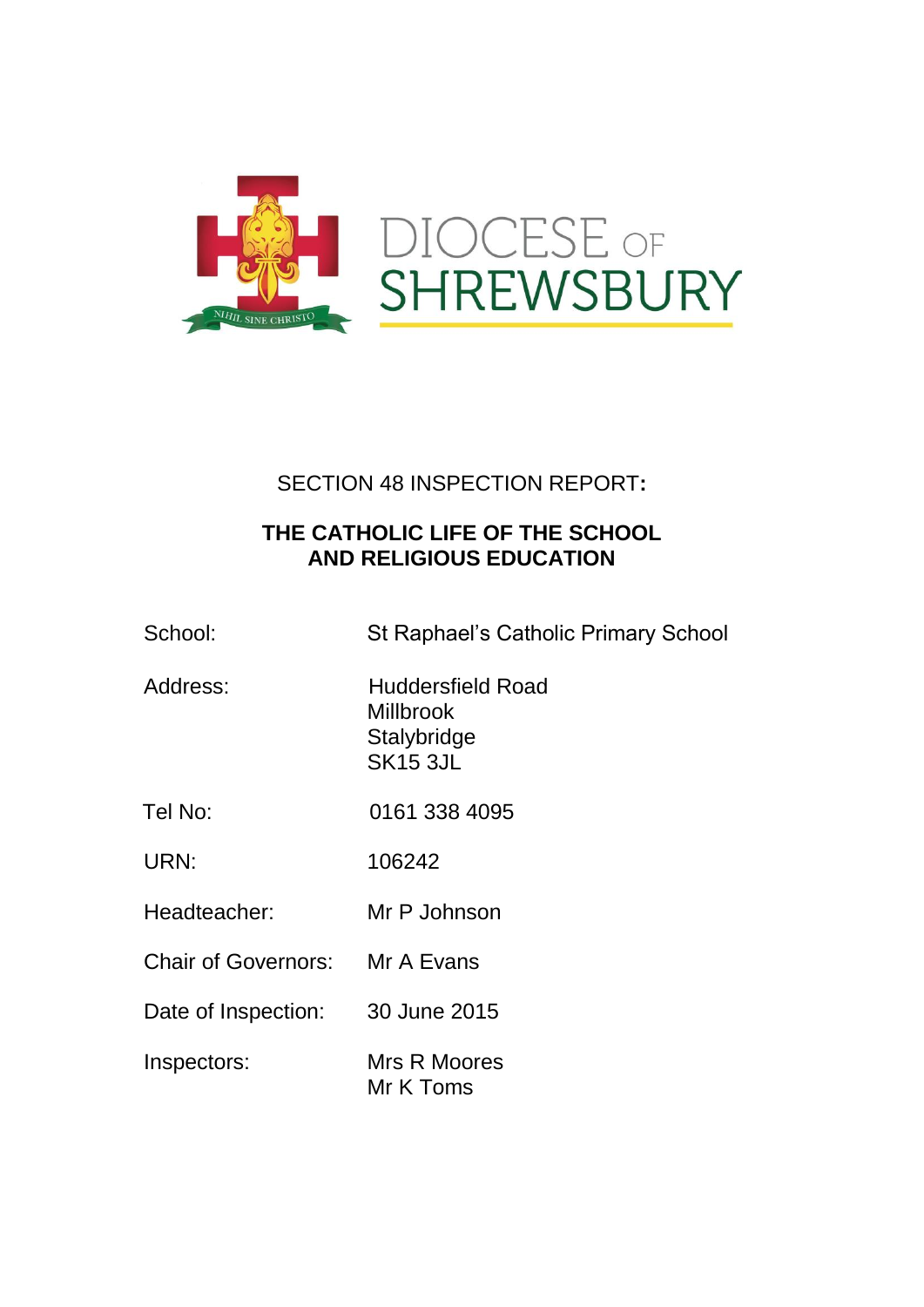

## SECTION 48 INSPECTION REPORT**:**

## **THE CATHOLIC LIFE OF THE SCHOOL AND RELIGIOUS EDUCATION**

| School: | St Raphael's Catholic Primary School |
|---------|--------------------------------------|
|         |                                      |

- Address: Huddersfield Road **Millbrook Stalybridge** SK15 3JL
- Tel No: 0161 338 4095
- URN: 106242
- Headteacher: Mr P Johnson
- Chair of Governors: Mr A Evans
- Date of Inspection: 30 June 2015
- Inspectors: Mrs R Moores Mr K Toms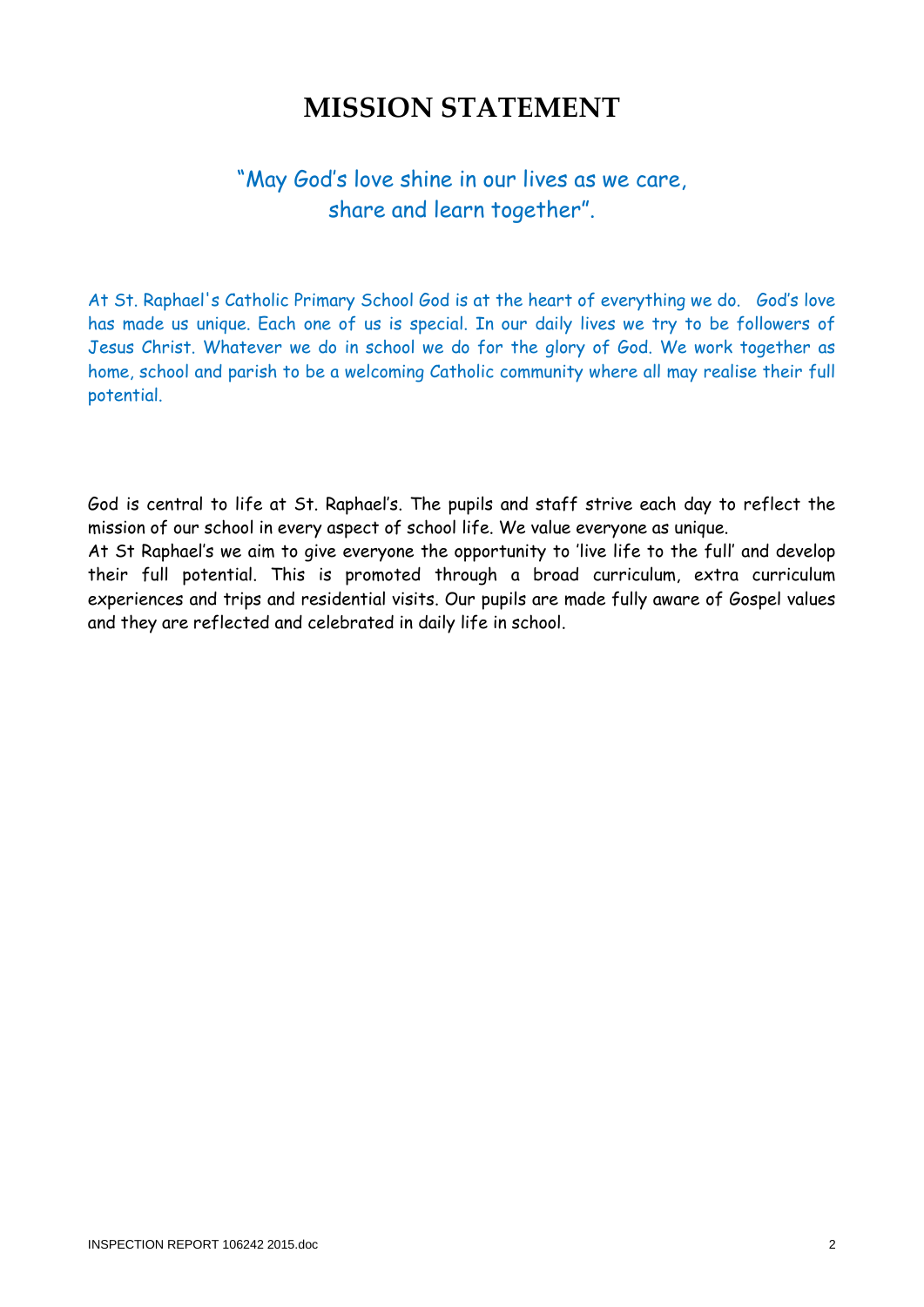# **MISSION STATEMENT**

## "May God's love shine in our lives as we care, share and learn together".

At St. Raphael's Catholic Primary School God is at the heart of everything we do. God's love has made us unique. Each one of us is special. In our daily lives we try to be followers of Jesus Christ. Whatever we do in school we do for the glory of God. We work together as home, school and parish to be a welcoming Catholic community where all may realise their full potential.

God is central to life at St. Raphael's. The pupils and staff strive each day to reflect the mission of our school in every aspect of school life. We value everyone as unique.

At St Raphael's we aim to give everyone the opportunity to 'live life to the full' and develop their full potential. This is promoted through a broad curriculum, extra curriculum experiences and trips and residential visits. Our pupils are made fully aware of Gospel values and they are reflected and celebrated in daily life in school.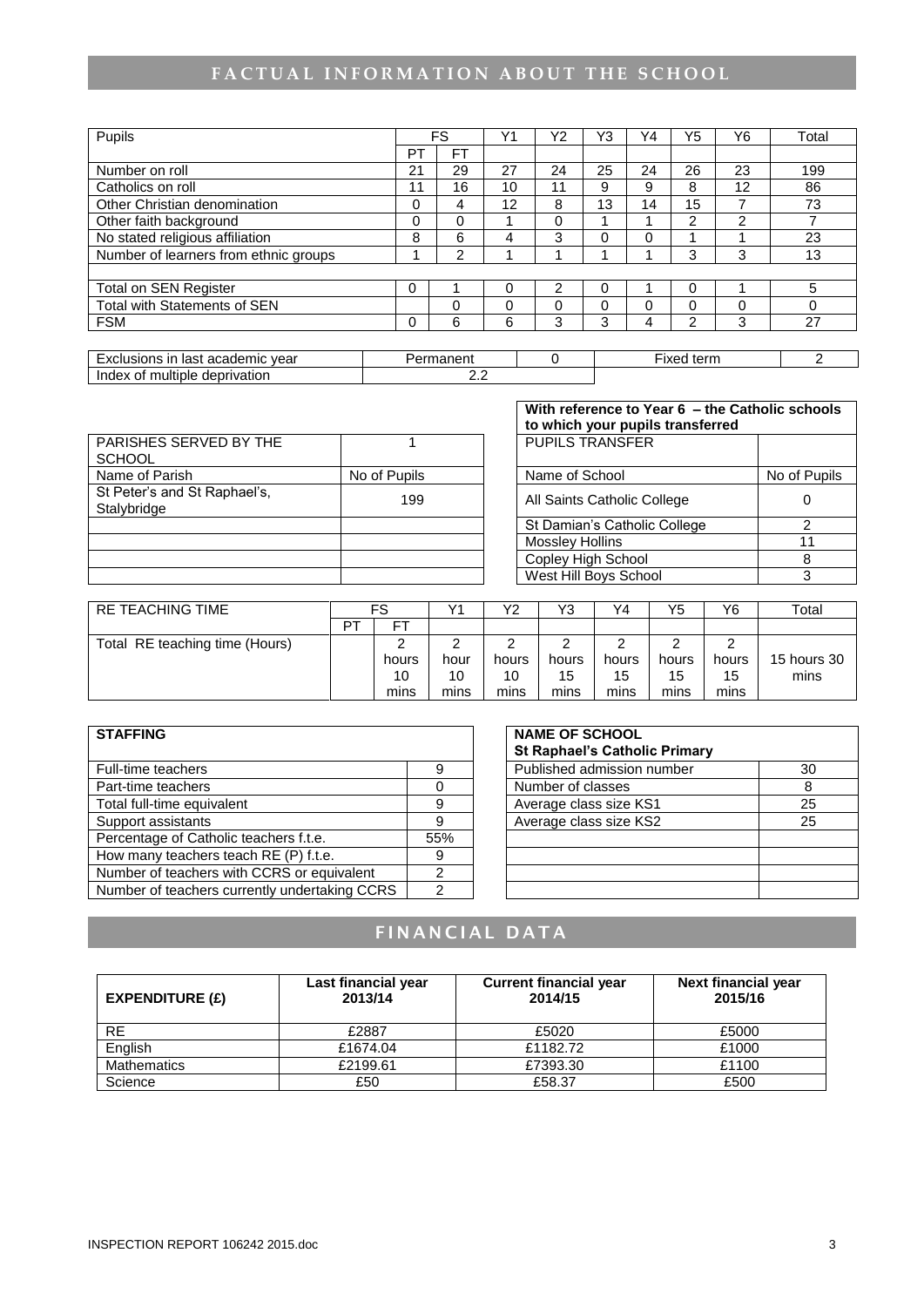## FACTUAL INFORMATION ABOUT THE SCHOOL

| Pupils                                |    | <b>FS</b> | $\sqrt{4}$ | Υ2 | Y3       | Y4 | Y5 | Y6       | Total |
|---------------------------------------|----|-----------|------------|----|----------|----|----|----------|-------|
|                                       | PT | <b>FT</b> |            |    |          |    |    |          |       |
| Number on roll                        | 21 | 29        | 27         | 24 | 25       | 24 | 26 | 23       | 199   |
| Catholics on roll                     | 11 | 16        | 10         | 11 | 9        | 9  | 8  | 12       | 86    |
| Other Christian denomination          | 0  | 4         | 12         | 8  | 13       | 14 | 15 |          | 73    |
| Other faith background                | 0  | 0         |            | 0  |          |    | ົ  | 2        |       |
| No stated religious affiliation       | 8  | 6         |            | 3  | $\Omega$ | 0  |    |          | 23    |
| Number of learners from ethnic groups |    | 2         |            |    |          |    | 3  | 3        | 13    |
|                                       |    |           |            |    |          |    |    |          |       |
| Total on SEN Register                 | 0  |           | 0          | ົ  | 0        |    |    |          | 5     |
| <b>Total with Statements of SEN</b>   |    | 0         | 0          | 0  | 0        |    |    | $\Omega$ | 0     |
| <b>FSM</b>                            | 0  | 6         | 6          | 3  | 3        | 4  | っ  | 3        | 27    |

| vear<br>. academic<br>usions<br>ın<br>last                 | ∙rmanent | --<br>tern<br>IVQ<br><b>IXEC</b> |  |
|------------------------------------------------------------|----------|----------------------------------|--|
| privation<br>Index<br>$\tilde{}$<br>multiple<br>aepi<br>ОТ | .        |                                  |  |

|                                             |              | to which your pupils transferred |              |
|---------------------------------------------|--------------|----------------------------------|--------------|
| PARISHES SERVED BY THE<br><b>SCHOOL</b>     |              | <b>PUPILS TRANSFER</b>           |              |
| Name of Parish                              | No of Pupils | Name of School                   | No of Pupils |
| St Peter's and St Raphael's,<br>Stalybridge | 199          | All Saints Catholic College      |              |
|                                             |              | St Damian's Catholic College     |              |
|                                             |              | <b>Mossley Hollins</b>           | 11           |
|                                             |              | Copley High School               |              |
|                                             |              | West Hill Boys School            |              |

**With reference to Year 6 – the Catholic schools to which your pupils transferred** ┱

| . טו ובאיוויים שם וש         |              |
|------------------------------|--------------|
| Name of School               | No of Pupils |
| All Saints Catholic College  |              |
| St Damian's Catholic College | 2            |
| <b>Mossley Hollins</b>       | 11           |
| Copley High School           |              |
| West Hill Boys School        |              |

| <b>RE TEACHING TIME</b>        |    | FS    | V1   | Υ2    | V?<br>ں ا | Y4    | Y5    | Y6    | Total       |
|--------------------------------|----|-------|------|-------|-----------|-------|-------|-------|-------------|
|                                | דס |       |      |       |           |       |       |       |             |
| Total RE teaching time (Hours) |    |       |      |       |           |       |       |       |             |
|                                |    | hours | hour | hours | hours     | hours | hours | hours | 15 hours 30 |
|                                |    | 10    | 10   | 10    | 15        | 15    | 15    | 15    | mins        |
|                                |    | mins  | mins | mins  | mins      | mins  | mins  | mins  |             |

| <b>STAFFING</b>                               |                | <b>NAME OF SCHOOL</b><br><b>St Raphael's Catholic Primary</b> |    |
|-----------------------------------------------|----------------|---------------------------------------------------------------|----|
| Full-time teachers                            | 9              | Published admission number                                    | 30 |
| Part-time teachers                            |                | Number of classes                                             | 8  |
| Total full-time equivalent                    | 9              | Average class size KS1                                        | 25 |
| Support assistants                            | 9              | Average class size KS2                                        | 25 |
| Percentage of Catholic teachers f.t.e.        | 55%            |                                                               |    |
| How many teachers teach RE (P) f.t.e.         | 9              |                                                               |    |
| Number of teachers with CCRS or equivalent    | າ              |                                                               |    |
| Number of teachers currently undertaking CCRS | $\mathfrak{p}$ |                                                               |    |

| <b>NAME OF SCHOOL</b><br><b>St Raphael's Catholic Primary</b> |    |
|---------------------------------------------------------------|----|
| Published admission number                                    | 30 |
| Number of classes                                             | 8  |
| Average class size KS1                                        | 25 |
| Average class size KS2                                        | 25 |
|                                                               |    |
|                                                               |    |
|                                                               |    |
|                                                               |    |

## **F I N A N C I A L D A T A**

| EXPENDITIVE(E)     | Last financial year<br>2013/14 | <b>Current financial year</b><br>2014/15 | <b>Next financial year</b><br>2015/16 |
|--------------------|--------------------------------|------------------------------------------|---------------------------------------|
| RE.                | £2887                          | £5020                                    | £5000                                 |
| English            | £1674.04                       | £1182.72                                 | £1000                                 |
| <b>Mathematics</b> | £2199.61                       | £7393.30                                 | £1100                                 |
| Science            | £50                            | £58.37                                   | £500                                  |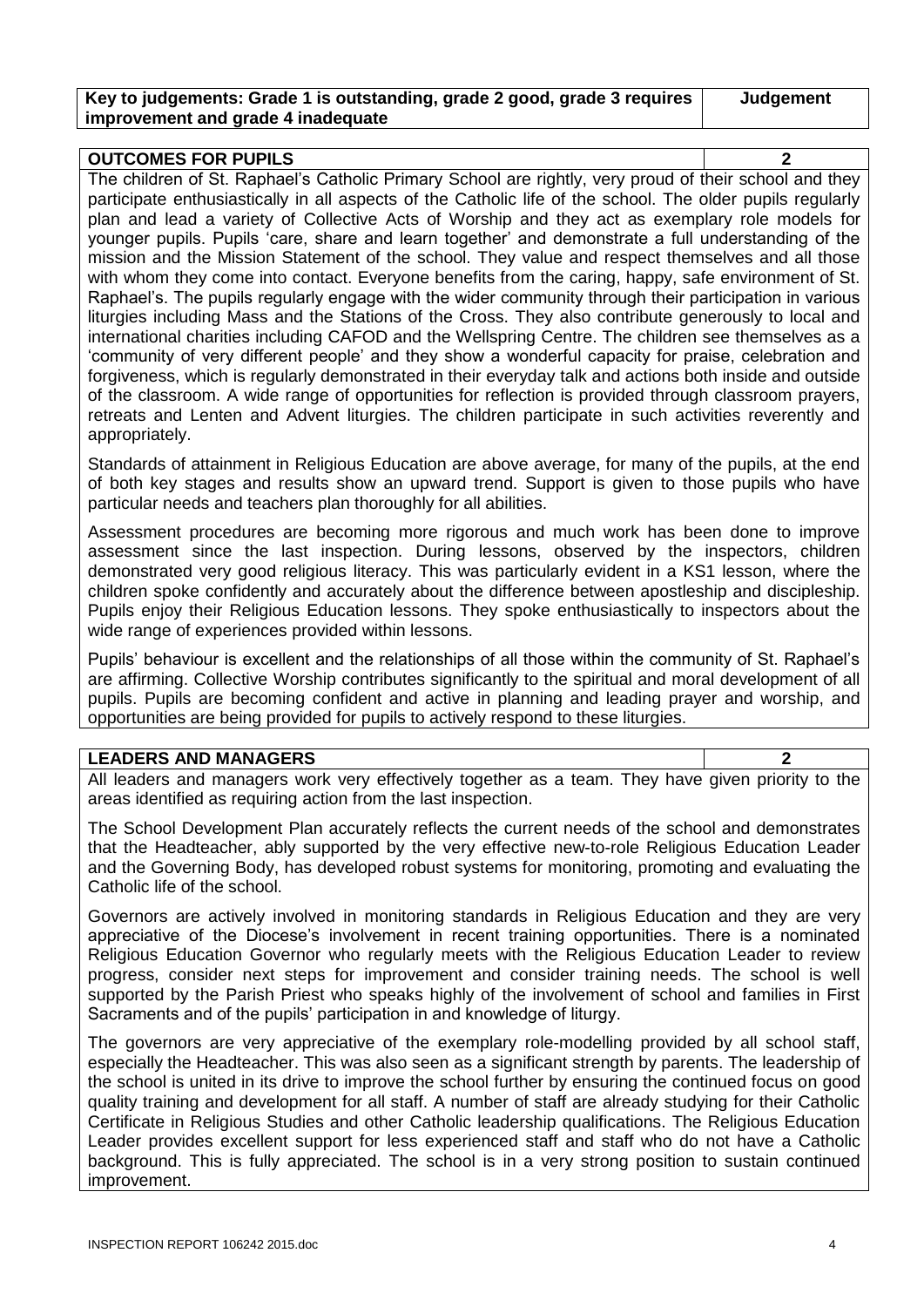### **Key to judgements: Grade 1 is outstanding, grade 2 good, grade 3 requires improvement and grade 4 inadequate**

**Judgement**

#### **OUTCOMES FOR PUPILS 2**

The children of St. Raphael's Catholic Primary School are rightly, very proud of their school and they participate enthusiastically in all aspects of the Catholic life of the school. The older pupils regularly plan and lead a variety of Collective Acts of Worship and they act as exemplary role models for younger pupils. Pupils 'care, share and learn together' and demonstrate a full understanding of the mission and the Mission Statement of the school. They value and respect themselves and all those with whom they come into contact. Everyone benefits from the caring, happy, safe environment of St. Raphael's. The pupils regularly engage with the wider community through their participation in various liturgies including Mass and the Stations of the Cross. They also contribute generously to local and international charities including CAFOD and the Wellspring Centre. The children see themselves as a 'community of very different people' and they show a wonderful capacity for praise, celebration and forgiveness, which is regularly demonstrated in their everyday talk and actions both inside and outside of the classroom. A wide range of opportunities for reflection is provided through classroom prayers, retreats and Lenten and Advent liturgies. The children participate in such activities reverently and appropriately.

Standards of attainment in Religious Education are above average, for many of the pupils, at the end of both key stages and results show an upward trend. Support is given to those pupils who have particular needs and teachers plan thoroughly for all abilities.

Assessment procedures are becoming more rigorous and much work has been done to improve assessment since the last inspection. During lessons, observed by the inspectors, children demonstrated very good religious literacy. This was particularly evident in a KS1 lesson, where the children spoke confidently and accurately about the difference between apostleship and discipleship. Pupils enjoy their Religious Education lessons. They spoke enthusiastically to inspectors about the wide range of experiences provided within lessons.

Pupils' behaviour is excellent and the relationships of all those within the community of St. Raphael's are affirming. Collective Worship contributes significantly to the spiritual and moral development of all pupils. Pupils are becoming confident and active in planning and leading prayer and worship, and opportunities are being provided for pupils to actively respond to these liturgies.

### **LEADERS AND MANAGERS 2**

All leaders and managers work very effectively together as a team. They have given priority to the areas identified as requiring action from the last inspection.

The School Development Plan accurately reflects the current needs of the school and demonstrates that the Headteacher, ably supported by the very effective new-to-role Religious Education Leader and the Governing Body, has developed robust systems for monitoring, promoting and evaluating the Catholic life of the school.

Governors are actively involved in monitoring standards in Religious Education and they are very appreciative of the Diocese's involvement in recent training opportunities. There is a nominated Religious Education Governor who regularly meets with the Religious Education Leader to review progress, consider next steps for improvement and consider training needs. The school is well supported by the Parish Priest who speaks highly of the involvement of school and families in First Sacraments and of the pupils' participation in and knowledge of liturgy.

The governors are very appreciative of the exemplary role-modelling provided by all school staff, especially the Headteacher. This was also seen as a significant strength by parents. The leadership of the school is united in its drive to improve the school further by ensuring the continued focus on good quality training and development for all staff. A number of staff are already studying for their Catholic Certificate in Religious Studies and other Catholic leadership qualifications. The Religious Education Leader provides excellent support for less experienced staff and staff who do not have a Catholic background. This is fully appreciated. The school is in a very strong position to sustain continued improvement.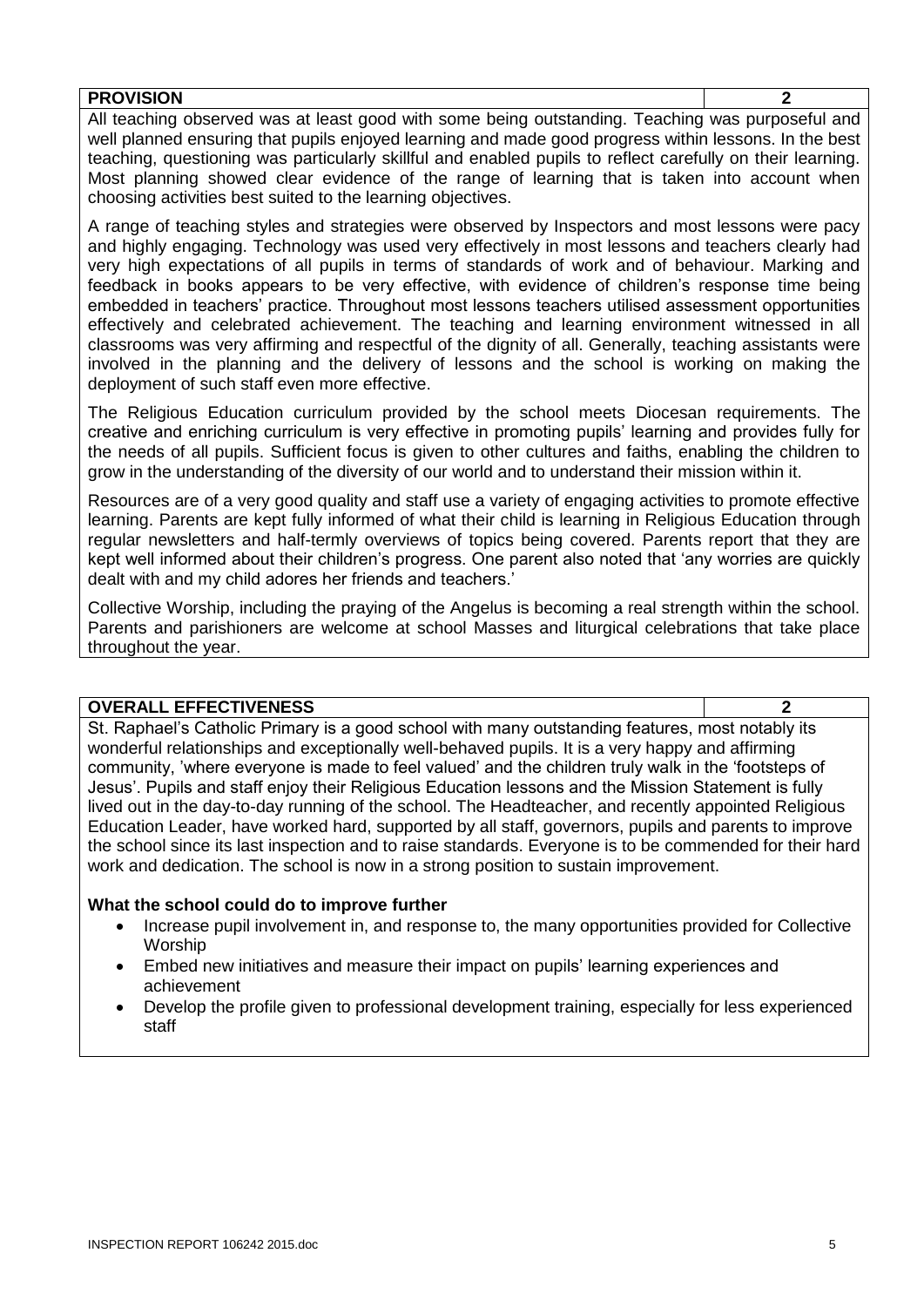| <b>PROVISION</b>                                                                                           |  |
|------------------------------------------------------------------------------------------------------------|--|
| All teaching observed was at least good with some being outstanding. Teaching was purposeful and           |  |
| well planned ensuring that pupils enjoyed learning and made good progress within lessons. In the best      |  |
| teaching, questioning was particularly skillful and enabled pupils to reflect carefully on their learning. |  |
| Most planning showed clear evidence of the range of learning that is taken into account when               |  |
| choosing activities best suited to the learning objectives.                                                |  |

A range of teaching styles and strategies were observed by Inspectors and most lessons were pacy and highly engaging. Technology was used very effectively in most lessons and teachers clearly had very high expectations of all pupils in terms of standards of work and of behaviour. Marking and feedback in books appears to be very effective, with evidence of children's response time being embedded in teachers' practice. Throughout most lessons teachers utilised assessment opportunities effectively and celebrated achievement. The teaching and learning environment witnessed in all classrooms was very affirming and respectful of the dignity of all. Generally, teaching assistants were involved in the planning and the delivery of lessons and the school is working on making the deployment of such staff even more effective.

The Religious Education curriculum provided by the school meets Diocesan requirements. The creative and enriching curriculum is very effective in promoting pupils' learning and provides fully for the needs of all pupils. Sufficient focus is given to other cultures and faiths, enabling the children to grow in the understanding of the diversity of our world and to understand their mission within it.

Resources are of a very good quality and staff use a variety of engaging activities to promote effective learning. Parents are kept fully informed of what their child is learning in Religious Education through regular newsletters and half-termly overviews of topics being covered. Parents report that they are kept well informed about their children's progress. One parent also noted that 'any worries are quickly dealt with and my child adores her friends and teachers.'

Collective Worship, including the praying of the Angelus is becoming a real strength within the school. Parents and parishioners are welcome at school Masses and liturgical celebrations that take place throughout the year.

### **OVERALL EFFECTIVENESS 2**

St. Raphael's Catholic Primary is a good school with many outstanding features, most notably its wonderful relationships and exceptionally well-behaved pupils. It is a very happy and affirming community, 'where everyone is made to feel valued' and the children truly walk in the 'footsteps of Jesus'. Pupils and staff enjoy their Religious Education lessons and the Mission Statement is fully lived out in the day-to-day running of the school. The Headteacher, and recently appointed Religious Education Leader, have worked hard, supported by all staff, governors, pupils and parents to improve the school since its last inspection and to raise standards. Everyone is to be commended for their hard work and dedication. The school is now in a strong position to sustain improvement.

### **What the school could do to improve further**

- Increase pupil involvement in, and response to, the many opportunities provided for Collective Worship
- Embed new initiatives and measure their impact on pupils' learning experiences and achievement
- Develop the profile given to professional development training, especially for less experienced staff